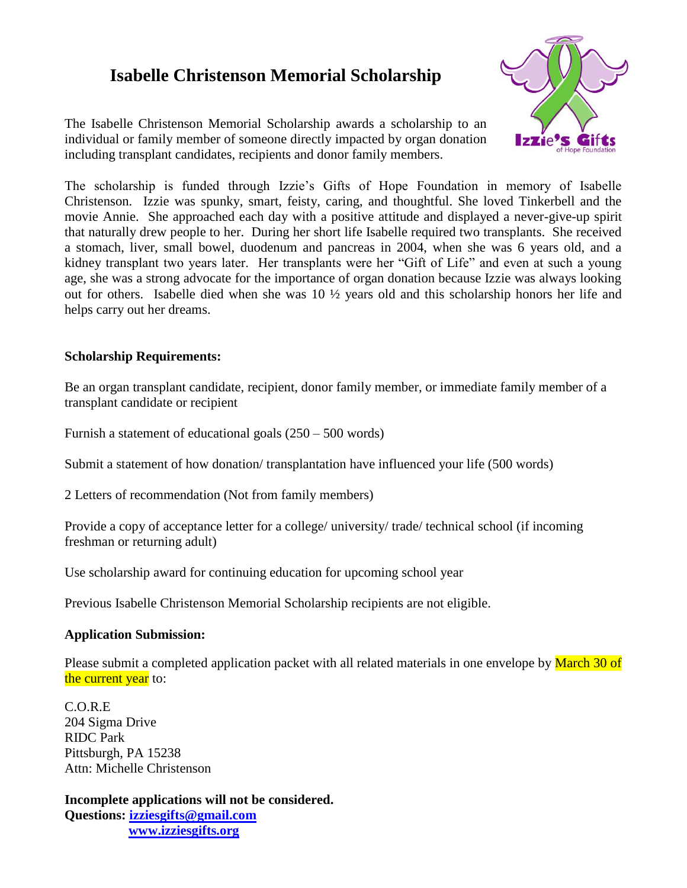## **Isabelle Christenson Memorial Scholarship**

The Isabelle Christenson Memorial Scholarship awards a scholarship to an individual or family member of someone directly impacted by organ donation including transplant candidates, recipients and donor family members.



The scholarship is funded through Izzie's Gifts of Hope Foundation in memory of Isabelle Christenson. Izzie was spunky, smart, feisty, caring, and thoughtful. She loved Tinkerbell and the movie Annie. She approached each day with a positive attitude and displayed a never-give-up spirit that naturally drew people to her. During her short life Isabelle required two transplants. She received a stomach, liver, small bowel, duodenum and pancreas in 2004, when she was 6 years old, and a kidney transplant two years later. Her transplants were her "Gift of Life" and even at such a young age, she was a strong advocate for the importance of organ donation because Izzie was always looking out for others. Isabelle died when she was 10 ½ years old and this scholarship honors her life and helps carry out her dreams.

## **Scholarship Requirements:**

Be an organ transplant candidate, recipient, donor family member, or immediate family member of a transplant candidate or recipient

Furnish a statement of educational goals (250 – 500 words)

Submit a statement of how donation/ transplantation have influenced your life (500 words)

2 Letters of recommendation (Not from family members)

Provide a copy of acceptance letter for a college/ university/ trade/ technical school (if incoming freshman or returning adult)

Use scholarship award for continuing education for upcoming school year

Previous Isabelle Christenson Memorial Scholarship recipients are not eligible.

## **Application Submission:**

Please submit a completed application packet with all related materials in one envelope by March 30 of the current year to:

C.O.R.E 204 Sigma Drive RIDC Park Pittsburgh, PA 15238 Attn: Michelle Christenson

**Incomplete applications will not be considered. Questions: [izziesgifts@gmail.com](mailto:izziesgifts@gmail.com) [www.izziesgifts.org](http://www.izziesgifts.org/)**